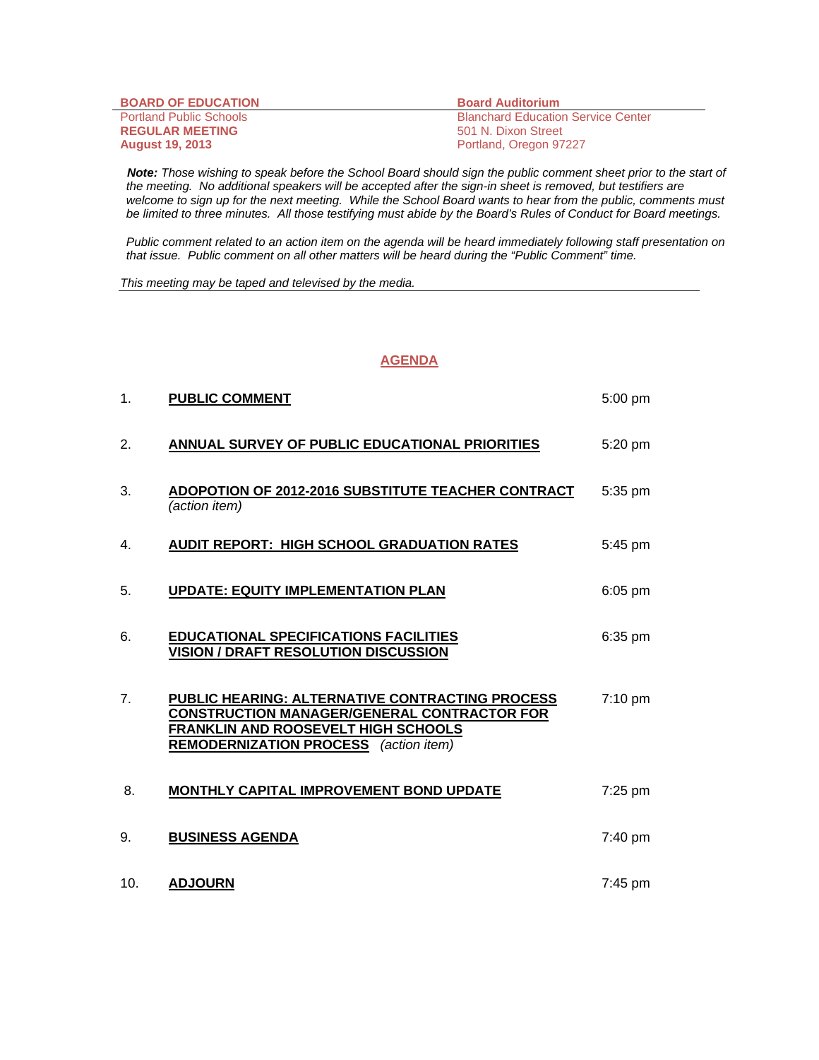| <b>BOARD OF EDUCATION</b>      | <b>Board Auditorium</b>                   |
|--------------------------------|-------------------------------------------|
| <b>Portland Public Schools</b> | <b>Blanchard Education Service Center</b> |
| <b>REGULAR MEETING</b>         | 501 N. Dixon Street                       |
| <b>August 19, 2013</b>         | Portland, Oregon 97227                    |

 *Note: Those wishing to speak before the School Board should sign the public comment sheet prior to the start of the meeting. No additional speakers will be accepted after the sign-in sheet is removed, but testifiers are welcome to sign up for the next meeting. While the School Board wants to hear from the public, comments must be limited to three minutes. All those testifying must abide by the Board's Rules of Conduct for Board meetings.* 

 *Public comment related to an action item on the agenda will be heard immediately following staff presentation on that issue. Public comment on all other matters will be heard during the "Public Comment" time.* 

*This meeting may be taped and televised by the media.* 

## **AGENDA**

| 1 <sub>1</sub> | <b>PUBLIC COMMENT</b>                                                                                                                                                                               | 5:00 pm           |
|----------------|-----------------------------------------------------------------------------------------------------------------------------------------------------------------------------------------------------|-------------------|
| 2.             | ANNUAL SURVEY OF PUBLIC EDUCATIONAL PRIORITIES                                                                                                                                                      | 5:20 pm           |
| 3.             | ADOPOTION OF 2012-2016 SUBSTITUTE TEACHER CONTRACT<br>(action item)                                                                                                                                 | 5:35 pm           |
| 4.             | <b>AUDIT REPORT: HIGH SCHOOL GRADUATION RATES</b>                                                                                                                                                   | 5:45 pm           |
| 5.             | <b>UPDATE: EQUITY IMPLEMENTATION PLAN</b>                                                                                                                                                           | $6:05$ pm         |
| 6.             | <b>EDUCATIONAL SPECIFICATIONS FACILITIES</b><br><b>VISION / DRAFT RESOLUTION DISCUSSION</b>                                                                                                         | 6:35 pm           |
| 7 <sub>1</sub> | PUBLIC HEARING: ALTERNATIVE CONTRACTING PROCESS<br><b>CONSTRUCTION MANAGER/GENERAL CONTRACTOR FOR</b><br><b>FRANKLIN AND ROOSEVELT HIGH SCHOOLS</b><br><b>REMODERNIZATION PROCESS</b> (action item) | $7:10 \text{ pm}$ |
| 8.             | MONTHLY CAPITAL IMPROVEMENT BOND UPDATE                                                                                                                                                             | 7:25 pm           |
| 9.             | <b>BUSINESS AGENDA</b>                                                                                                                                                                              | 7:40 pm           |
| 10.            | <b>ADJOURN</b>                                                                                                                                                                                      | 7:45 pm           |